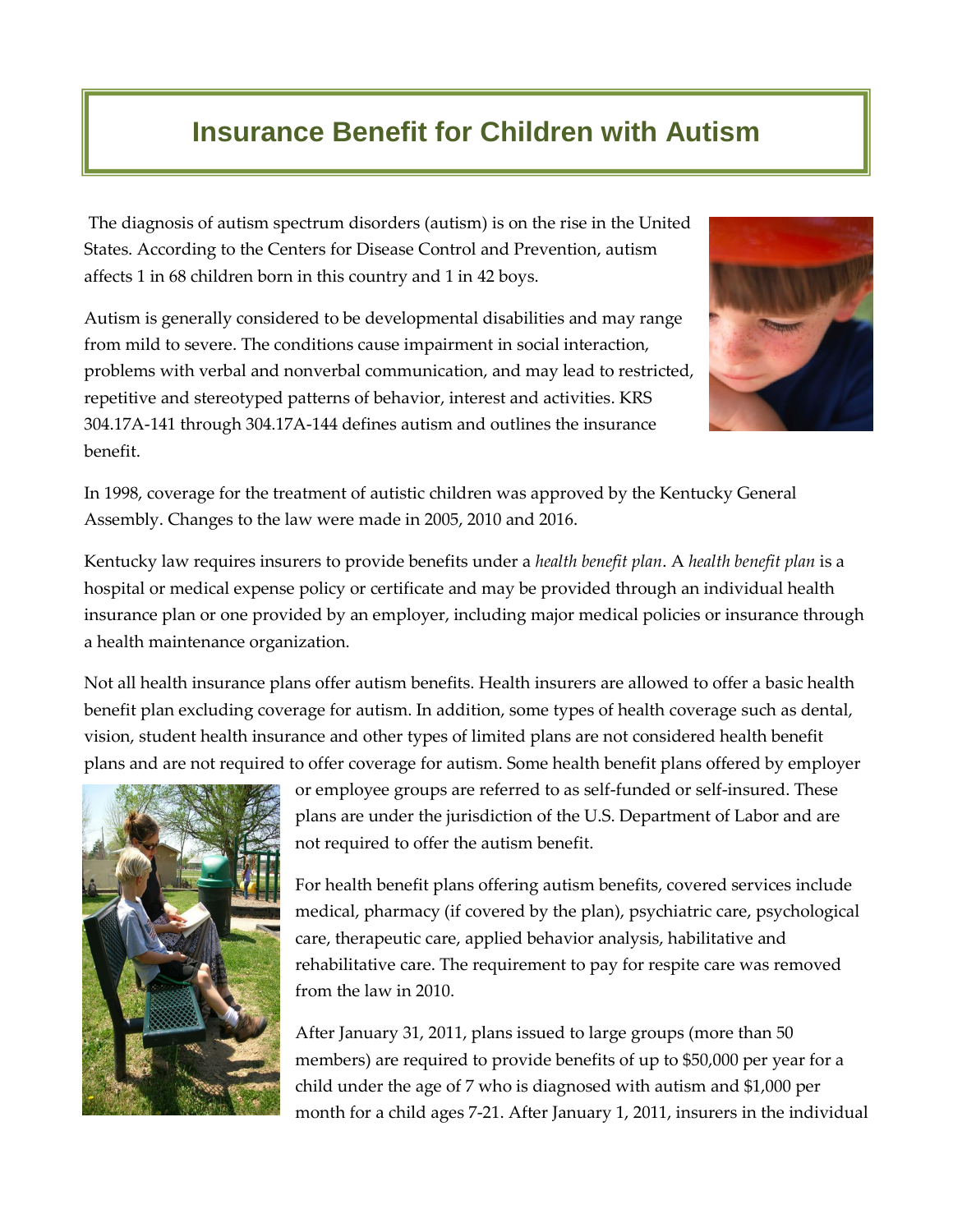## **Insurance Benefit for Children with Autism**

The diagnosis of autism spectrum disorders (autism) is on the rise in the United States. According to the Centers for Disease Control and Prevention, autism affects 1 in 68 children born in this country and 1 in 42 boys.

Autism is generally considered to be developmental disabilities and may range from mild to severe. The conditions cause impairment in social interaction, problems with verbal and nonverbal communication, and may lead to restricted, repetitive and stereotyped patterns of behavior, interest and activities. KRS 304.17A-141 through 304.17A-144 defines autism and outlines the insurance benefit.



In 1998, coverage for the treatment of autistic children was approved by the Kentucky General Assembly. Changes to the law were made in 2005, 2010 and 2016.

Kentucky law requires insurers to provide benefits under a *health benefit plan*. A *health benefit plan* is a hospital or medical expense policy or certificate and may be provided through an individual health insurance plan or one provided by an employer, including major medical policies or insurance through a health maintenance organization.

Not all health insurance plans offer autism benefits. Health insurers are allowed to offer a basic health benefit plan excluding coverage for autism. In addition, some types of health coverage such as dental, vision, student health insurance and other types of limited plans are not considered health benefit plans and are not required to offer coverage for autism. Some health benefit plans offered by employer



or employee groups are referred to as self-funded or self-insured. These plans are under the jurisdiction of the U.S. Department of Labor and are not required to offer the autism benefit.

For health benefit plans offering autism benefits, covered services include medical, pharmacy (if covered by the plan), psychiatric care, psychological care, therapeutic care, applied behavior analysis, habilitative and rehabilitative care. The requirement to pay for respite care was removed from the law in 2010.

After January 31, 2011, plans issued to large groups (more than 50 members) are required to provide benefits of up to \$50,000 per year for a child under the age of 7 who is diagnosed with autism and \$1,000 per month for a child ages 7-21. After January 1, 2011, insurers in the individual